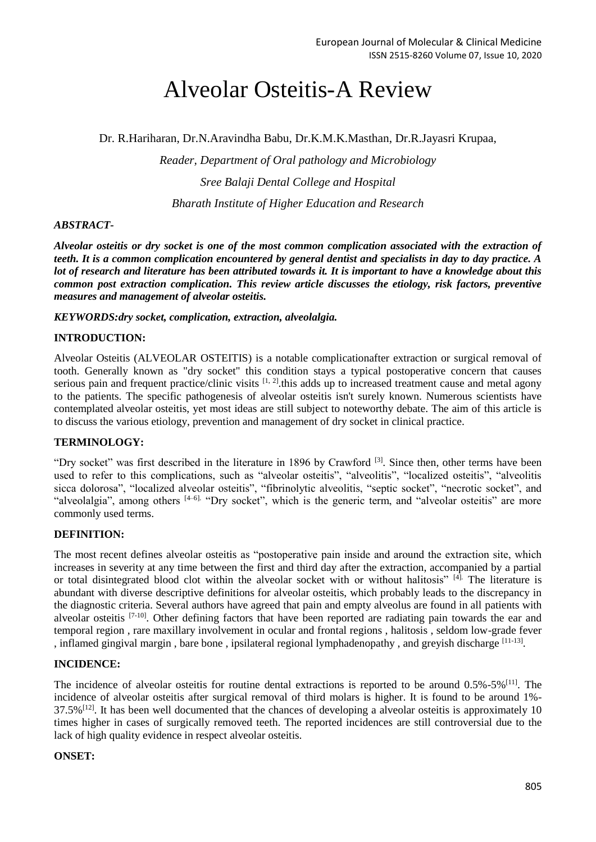# Alveolar Osteitis-A Review

Dr. R.Hariharan, Dr.N.Aravindha Babu, Dr.K.M.K.Masthan, Dr.R.Jayasri Krupaa,

*Reader, Department of Oral pathology and Microbiology Sree Balaji Dental College and Hospital Bharath Institute of Higher Education and Research*

## *ABSTRACT-*

*Alveolar osteitis or dry socket is one of the most common complication associated with the extraction of teeth. It is a common complication encountered by general dentist and specialists in day to day practice. A lot of research and literature has been attributed towards it. It is important to have a knowledge about this common post extraction complication. This review article discusses the etiology, risk factors, preventive measures and management of alveolar osteitis.*

*KEYWORDS:dry socket, complication, extraction, alveolalgia.*

## **INTRODUCTION:**

Alveolar Osteitis (ALVEOLAR OSTEITIS) is a notable complicationafter extraction or surgical removal of tooth. Generally known as "dry socket" this condition stays a typical postoperative concern that causes serious pain and frequent practice/clinic visits  $[1, 2]$ , this adds up to increased treatment cause and metal agony to the patients. The specific pathogenesis of alveolar osteitis isn't surely known. Numerous scientists have contemplated alveolar osteitis, yet most ideas are still subject to noteworthy debate. The aim of this article is to discuss the various etiology, prevention and management of dry socket in clinical practice.

## **TERMINOLOGY:**

"Dry socket" was first described in the literature in 1896 by Crawford <sup>[3]</sup>. Since then, other terms have been used to refer to this complications, such as "alveolar osteitis", "alveolitis", "localized osteitis", "alveolitis sicca dolorosa", "localized alveolar osteitis", "fibrinolytic alveolitis, "septic socket", "necrotic socket", and "alveolalgia", among others [4–6]. "Dry socket", which is the generic term, and "alveolar osteitis" are more commonly used terms.

## **DEFINITION:**

The most recent defines alveolar osteitis as "postoperative pain inside and around the extraction site, which increases in severity at any time between the first and third day after the extraction, accompanied by a partial or total disintegrated blood clot within the alveolar socket with or without halitosis" [4]. The literature is abundant with diverse descriptive definitions for alveolar osteitis, which probably leads to the discrepancy in the diagnostic criteria. Several authors have agreed that pain and empty alveolus are found in all patients with alveolar osteitis [7-10]. Other defining factors that have been reported are radiating pain towards the ear and temporal region , rare maxillary involvement in ocular and frontal regions , halitosis , seldom low-grade fever , inflamed gingival margin, bare bone, ipsilateral regional lymphadenopathy, and greyish discharge [11-13].

## **INCIDENCE:**

The incidence of alveolar osteitis for routine dental extractions is reported to be around  $0.5\%$ -5%<sup>[11]</sup>. The incidence of alveolar osteitis after surgical removal of third molars is higher. It is found to be around 1%- 37.5%[12]. It has been well documented that the chances of developing a alveolar osteitis is approximately 10 times higher in cases of surgically removed teeth. The reported incidences are still controversial due to the lack of high quality evidence in respect alveolar osteitis.

## **ONSET:**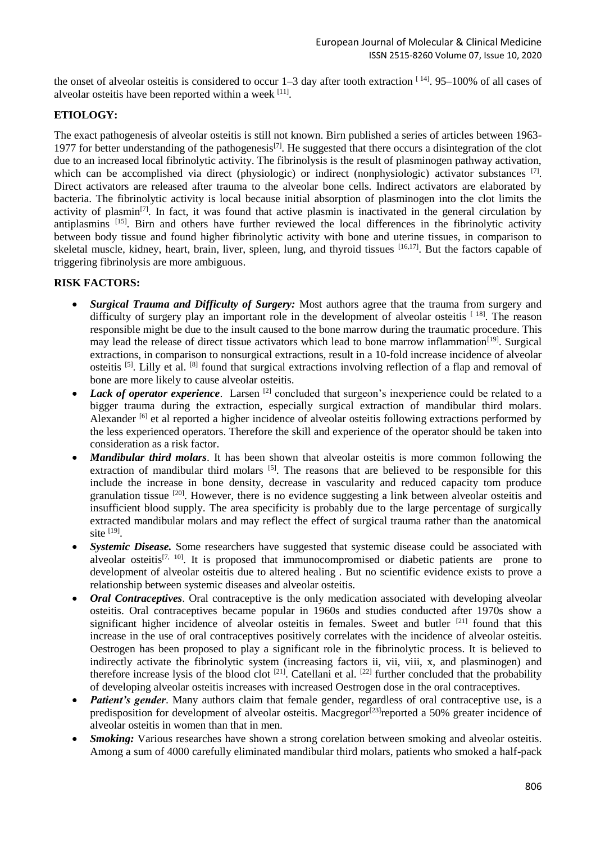the onset of alveolar osteitis is considered to occur  $1-3$  day after tooth extraction  $[14]$ . 95-100% of all cases of alveolar osteitis have been reported within a week [11].

# **ETIOLOGY:**

The exact pathogenesis of alveolar osteitis is still not known. Birn published a series of articles between 1963- 1977 for better understanding of the pathogenesis<sup>[7]</sup>. He suggested that there occurs a disintegration of the clot due to an increased local fibrinolytic activity. The fibrinolysis is the result of plasminogen pathway activation, which can be accomplished via direct (physiologic) or indirect (nonphysiologic) activator substances [7]. Direct activators are released after trauma to the alveolar bone cells. Indirect activators are elaborated by bacteria. The fibrinolytic activity is local because initial absorption of plasminogen into the clot limits the activity of plasmin<sup>[7]</sup>. In fact, it was found that active plasmin is inactivated in the general circulation by antiplasmins [15]. Birn and others have further reviewed the local differences in the fibrinolytic activity between body tissue and found higher fibrinolytic activity with bone and uterine tissues, in comparison to skeletal muscle, kidney, heart, brain, liver, spleen, lung, and thyroid tissues [16,17]. But the factors capable of triggering fibrinolysis are more ambiguous.

## **RISK FACTORS:**

- *Surgical Trauma and Difficulty of Surgery:* Most authors agree that the trauma from surgery and difficulty of surgery play an important role in the development of alveolar osteitis  $[18]$ . The reason responsible might be due to the insult caused to the bone marrow during the traumatic procedure. This may lead the release of direct tissue activators which lead to bone marrow inflammation<sup>[19]</sup>. Surgical extractions, in comparison to nonsurgical extractions, result in a 10-fold increase incidence of alveolar osteitis [5]. Lilly et al. [8] found that surgical extractions involving reflection of a flap and removal of bone are more likely to cause alveolar osteitis.
- *Lack of operator experience*. Larsen <sup>[2]</sup> concluded that surgeon's inexperience could be related to a bigger trauma during the extraction, especially surgical extraction of mandibular third molars. Alexander <sup>[6]</sup> et al reported a higher incidence of alveolar osteitis following extractions performed by the less experienced operators. Therefore the skill and experience of the operator should be taken into consideration as a risk factor.
- *Mandibular third molars*. It has been shown that alveolar osteitis is more common following the extraction of mandibular third molars <sup>[5]</sup>. The reasons that are believed to be responsible for this include the increase in bone density, decrease in vascularity and reduced capacity tom produce granulation tissue [20]. However, there is no evidence suggesting a link between alveolar osteitis and insufficient blood supply. The area specificity is probably due to the large percentage of surgically extracted mandibular molars and may reflect the effect of surgical trauma rather than the anatomical site  $^{[19]}$ .
- *Systemic Disease.* Some researchers have suggested that systemic disease could be associated with alveolar osteitis<sup>[7, 10]</sup>. It is proposed that immunocompromised or diabetic patients are prone to development of alveolar osteitis due to altered healing . But no scientific evidence exists to prove a relationship between systemic diseases and alveolar osteitis.
- *Oral Contraceptives*. Oral contraceptive is the only medication associated with developing alveolar osteitis. Oral contraceptives became popular in 1960s and studies conducted after 1970s show a significant higher incidence of alveolar osteitis in females. Sweet and butler <sup>[21]</sup> found that this increase in the use of oral contraceptives positively correlates with the incidence of alveolar osteitis. Oestrogen has been proposed to play a significant role in the fibrinolytic process. It is believed to indirectly activate the fibrinolytic system (increasing factors ii, vii, viii, x, and plasminogen) and therefore increase lysis of the blood clot  $[21]$ . Catellani et al.  $[22]$  further concluded that the probability of developing alveolar osteitis increases with increased Oestrogen dose in the oral contraceptives.
- *Patient's gender*. Many authors claim that female gender, regardless of oral contraceptive use, is a predisposition for development of alveolar osteitis. Macgregor<sup>[23]</sup>reported a 50% greater incidence of alveolar osteitis in women than that in men.
- *Smoking:* Various researches have shown a strong corelation between smoking and alveolar osteitis. Among a sum of 4000 carefully eliminated mandibular third molars, patients who smoked a half-pack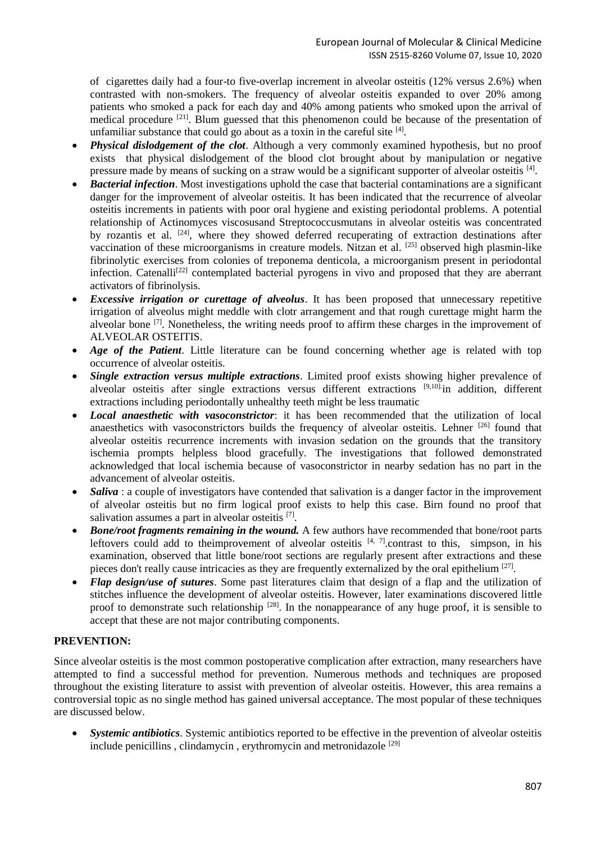of cigarettes daily had a four-to five-overlap increment in alveolar osteitis (12% versus 2.6%) when contrasted with non-smokers. The frequency of alveolar osteitis expanded to over 20% among patients who smoked a pack for each day and 40% among patients who smoked upon the arrival of medical procedure <sup>[21]</sup>. Blum guessed that this phenomenon could be because of the presentation of unfamiliar substance that could go about as a toxin in the careful site  $[4]$ .

- *Physical dislodgement of the clot*. Although a very commonly examined hypothesis, but no proof exists that physical dislodgement of the blood clot brought about by manipulation or negative pressure made by means of sucking on a straw would be a significant supporter of alveolar osteitis [4].
- *Bacterial infection*. Most investigations uphold the case that bacterial contaminations are a significant danger for the improvement of alveolar osteitis. It has been indicated that the recurrence of alveolar osteitis increments in patients with poor oral hygiene and existing periodontal problems. A potential relationship of Actinomyces viscosusand Streptococcusmutans in alveolar osteitis was concentrated by rozantis et al. <sup>[24]</sup>, where they showed deferred recuperating of extraction destinations after vaccination of these microorganisms in creature models. Nitzan et al. [25] observed high plasmin-like fibrinolytic exercises from colonies of treponema denticola, a microorganism present in periodontal infection. Catenalli<sup>[22]</sup> contemplated bacterial pyrogens in vivo and proposed that they are aberrant activators of fibrinolysis.
- *Excessive irrigation or curettage of alveolus*. It has been proposed that unnecessary repetitive irrigation of alveolus might meddle with clotr arrangement and that rough curettage might harm the alveolar bone <sup>[7]</sup>. Nonetheless, the writing needs proof to affirm these charges in the improvement of ALVEOLAR OSTEITIS.
- *Age of the Patient*. Little literature can be found concerning whether age is related with top occurrence of alveolar osteitis.
- *Single extraction versus multiple extractions*. Limited proof exists showing higher prevalence of alveolar osteitis after single extractions versus different extractions [9,10] in addition, different extractions including periodontally unhealthy teeth might be less traumatic
- *Local anaesthetic with vasoconstrictor*: it has been recommended that the utilization of local anaesthetics with vasoconstrictors builds the frequency of alveolar osteitis. Lehner [26] found that alveolar osteitis recurrence increments with invasion sedation on the grounds that the transitory ischemia prompts helpless blood gracefully. The investigations that followed demonstrated acknowledged that local ischemia because of vasoconstrictor in nearby sedation has no part in the advancement of alveolar osteitis.
- *Saliva* : a couple of investigators have contended that salivation is a danger factor in the improvement of alveolar osteitis but no firm logical proof exists to help this case. Birn found no proof that salivation assumes a part in alveolar osteitis [7].
- *Bone/root fragments remaining in the wound.* A few authors have recommended that bone/root parts leftovers could add to the improvement of alveolar osteitis  $[4, 7]$ .contrast to this, simpson, in his examination, observed that little bone/root sections are regularly present after extractions and these pieces don't really cause intricacies as they are frequently externalized by the oral epithelium <sup>[27]</sup>.
- *Flap design/use of sutures*. Some past literatures claim that design of a flap and the utilization of stitches influence the development of alveolar osteitis. However, later examinations discovered little proof to demonstrate such relationship  $^{[28]}$ . In the nonappearance of any huge proof, it is sensible to accept that these are not major contributing components.

# **PREVENTION:**

Since alveolar osteitis is the most common postoperative complication after extraction, many researchers have attempted to find a successful method for prevention. Numerous methods and techniques are proposed throughout the existing literature to assist with prevention of alveolar osteitis. However, this area remains a controversial topic as no single method has gained universal acceptance. The most popular of these techniques are discussed below.

 *Systemic antibiotics*. Systemic antibiotics reported to be effective in the prevention of alveolar osteitis include penicillins , clindamycin , erythromycin and metronidazole [29]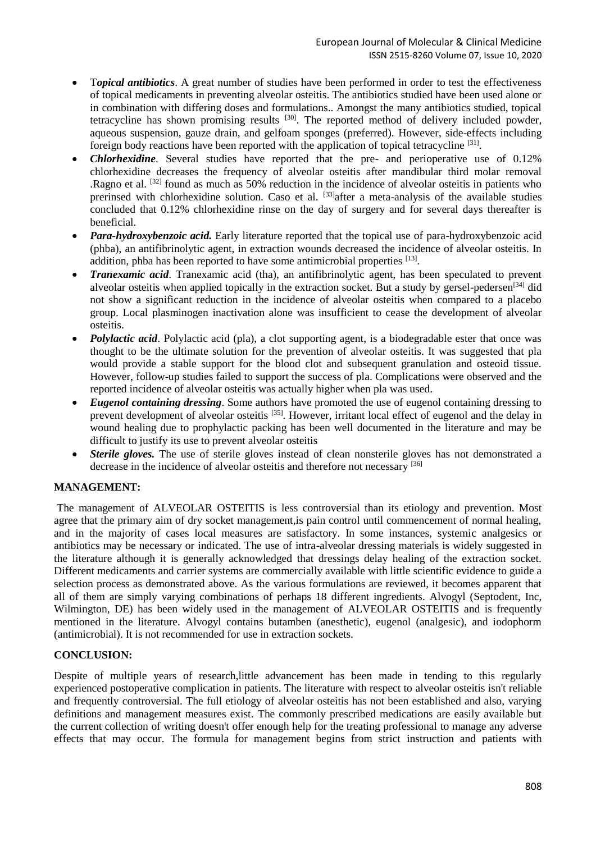- T*opical antibiotics*. A great number of studies have been performed in order to test the effectiveness of topical medicaments in preventing alveolar osteitis. The antibiotics studied have been used alone or in combination with differing doses and formulations.. Amongst the many antibiotics studied, topical tetracycline has shown promising results  $[30]$ . The reported method of delivery included powder, aqueous suspension, gauze drain, and gelfoam sponges (preferred). However, side-effects including foreign body reactions have been reported with the application of topical tetracycline<sup>[31]</sup>.
- *Chlorhexidine*. Several studies have reported that the pre- and perioperative use of 0.12% chlorhexidine decreases the frequency of alveolar osteitis after mandibular third molar removal .Ragno et al. [32] found as much as 50% reduction in the incidence of alveolar osteitis in patients who prerinsed with chlorhexidine solution. Caso et al. [33] after a meta-analysis of the available studies concluded that 0.12% chlorhexidine rinse on the day of surgery and for several days thereafter is beneficial.
- *Para-hydroxybenzoic acid.* Early literature reported that the topical use of para-hydroxybenzoic acid (phba), an antifibrinolytic agent, in extraction wounds decreased the incidence of alveolar osteitis. In addition, phba has been reported to have some antimicrobial properties [13].
- *Tranexamic acid*. Tranexamic acid (tha), an antifibrinolytic agent, has been speculated to prevent alveolar osteitis when applied topically in the extraction socket. But a study by gersel-pedersen<sup>[34]</sup> did not show a significant reduction in the incidence of alveolar osteitis when compared to a placebo group. Local plasminogen inactivation alone was insufficient to cease the development of alveolar osteitis.
- *Polylactic acid*. Polylactic acid (pla), a clot supporting agent, is a biodegradable ester that once was thought to be the ultimate solution for the prevention of alveolar osteitis. It was suggested that pla would provide a stable support for the blood clot and subsequent granulation and osteoid tissue. However, follow-up studies failed to support the success of pla. Complications were observed and the reported incidence of alveolar osteitis was actually higher when pla was used.
- *Eugenol containing dressing*. Some authors have promoted the use of eugenol containing dressing to prevent development of alveolar osteitis [35]. However, irritant local effect of eugenol and the delay in wound healing due to prophylactic packing has been well documented in the literature and may be difficult to justify its use to prevent alveolar osteitis
- *Sterile gloves.* The use of sterile gloves instead of clean nonsterile gloves has not demonstrated a decrease in the incidence of alveolar osteitis and therefore not necessary [36]

# **MANAGEMENT:**

The management of ALVEOLAR OSTEITIS is less controversial than its etiology and prevention. Most agree that the primary aim of dry socket management,is pain control until commencement of normal healing, and in the majority of cases local measures are satisfactory. In some instances, systemic analgesics or antibiotics may be necessary or indicated. The use of intra-alveolar dressing materials is widely suggested in the literature although it is generally acknowledged that dressings delay healing of the extraction socket. Different medicaments and carrier systems are commercially available with little scientific evidence to guide a selection process as demonstrated above. As the various formulations are reviewed, it becomes apparent that all of them are simply varying combinations of perhaps 18 different ingredients. Alvogyl (Septodent, Inc, Wilmington, DE) has been widely used in the management of ALVEOLAR OSTEITIS and is frequently mentioned in the literature. Alvogyl contains butamben (anesthetic), eugenol (analgesic), and iodophorm (antimicrobial). It is not recommended for use in extraction sockets.

## **CONCLUSION:**

Despite of multiple years of research,little advancement has been made in tending to this regularly experienced postoperative complication in patients. The literature with respect to alveolar osteitis isn't reliable and frequently controversial. The full etiology of alveolar osteitis has not been established and also, varying definitions and management measures exist. The commonly prescribed medications are easily available but the current collection of writing doesn't offer enough help for the treating professional to manage any adverse effects that may occur. The formula for management begins from strict instruction and patients with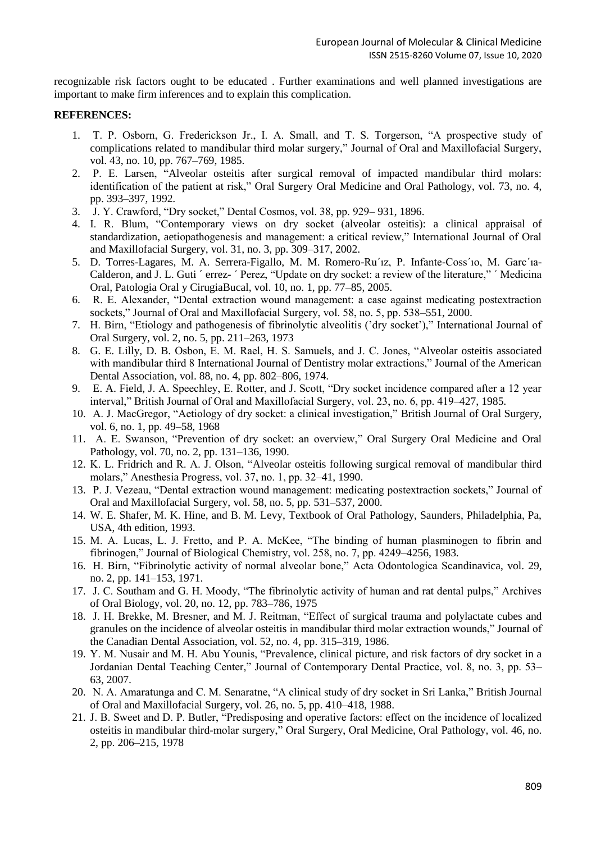recognizable risk factors ought to be educated . Further examinations and well planned investigations are important to make firm inferences and to explain this complication.

## **REFERENCES:**

- 1. T. P. Osborn, G. Frederickson Jr., I. A. Small, and T. S. Torgerson, "A prospective study of complications related to mandibular third molar surgery," Journal of Oral and Maxillofacial Surgery, vol. 43, no. 10, pp. 767–769, 1985.
- 2. P. E. Larsen, "Alveolar osteitis after surgical removal of impacted mandibular third molars: identification of the patient at risk," Oral Surgery Oral Medicine and Oral Pathology, vol. 73, no. 4, pp. 393–397, 1992.
- 3. J. Y. Crawford, "Dry socket," Dental Cosmos, vol. 38, pp. 929– 931, 1896.
- 4. I. R. Blum, "Contemporary views on dry socket (alveolar osteitis): a clinical appraisal of standardization, aetiopathogenesis and management: a critical review," International Journal of Oral and Maxillofacial Surgery, vol. 31, no. 3, pp. 309–317, 2002.
- 5. D. Torres-Lagares, M. A. Serrera-Figallo, M. M. Romero-Ru´ız, P. Infante-Coss´ıo, M. Garc´ıa-Calderon, and J. L. Guti ´ errez- ´ Perez, "Update on dry socket: a review of the literature," ´ Medicina Oral, Patologia Oral y CirugiaBucal, vol. 10, no. 1, pp. 77–85, 2005.
- 6. R. E. Alexander, "Dental extraction wound management: a case against medicating postextraction sockets," Journal of Oral and Maxillofacial Surgery, vol. 58, no. 5, pp. 538–551, 2000.
- 7. H. Birn, "Etiology and pathogenesis of fibrinolytic alveolitis ('dry socket')," International Journal of Oral Surgery, vol. 2, no. 5, pp. 211–263, 1973
- 8. G. E. Lilly, D. B. Osbon, E. M. Rael, H. S. Samuels, and J. C. Jones, "Alveolar osteitis associated with mandibular third 8 International Journal of Dentistry molar extractions," Journal of the American Dental Association, vol. 88, no. 4, pp. 802–806, 1974.
- 9. E. A. Field, J. A. Speechley, E. Rotter, and J. Scott, "Dry socket incidence compared after a 12 year interval," British Journal of Oral and Maxillofacial Surgery, vol. 23, no. 6, pp. 419–427, 1985.
- 10. A. J. MacGregor, "Aetiology of dry socket: a clinical investigation," British Journal of Oral Surgery, vol. 6, no. 1, pp. 49–58, 1968
- 11. A. E. Swanson, "Prevention of dry socket: an overview," Oral Surgery Oral Medicine and Oral Pathology, vol. 70, no. 2, pp. 131–136, 1990.
- 12. K. L. Fridrich and R. A. J. Olson, "Alveolar osteitis following surgical removal of mandibular third molars," Anesthesia Progress, vol. 37, no. 1, pp. 32–41, 1990.
- 13. P. J. Vezeau, "Dental extraction wound management: medicating postextraction sockets," Journal of Oral and Maxillofacial Surgery, vol. 58, no. 5, pp. 531–537, 2000.
- 14. W. E. Shafer, M. K. Hine, and B. M. Levy, Textbook of Oral Pathology, Saunders, Philadelphia, Pa, USA, 4th edition, 1993.
- 15. M. A. Lucas, L. J. Fretto, and P. A. McKee, "The binding of human plasminogen to fibrin and fibrinogen," Journal of Biological Chemistry, vol. 258, no. 7, pp. 4249–4256, 1983.
- 16. H. Birn, "Fibrinolytic activity of normal alveolar bone," Acta Odontologica Scandinavica, vol. 29, no. 2, pp. 141–153, 1971.
- 17. J. C. Southam and G. H. Moody, "The fibrinolytic activity of human and rat dental pulps," Archives of Oral Biology, vol. 20, no. 12, pp. 783–786, 1975
- 18. J. H. Brekke, M. Bresner, and M. J. Reitman, "Effect of surgical trauma and polylactate cubes and granules on the incidence of alveolar osteitis in mandibular third molar extraction wounds," Journal of the Canadian Dental Association, vol. 52, no. 4, pp. 315–319, 1986.
- 19. Y. M. Nusair and M. H. Abu Younis, "Prevalence, clinical picture, and risk factors of dry socket in a Jordanian Dental Teaching Center," Journal of Contemporary Dental Practice, vol. 8, no. 3, pp. 53– 63, 2007.
- 20. N. A. Amaratunga and C. M. Senaratne, "A clinical study of dry socket in Sri Lanka," British Journal of Oral and Maxillofacial Surgery, vol. 26, no. 5, pp. 410–418, 1988.
- 21. J. B. Sweet and D. P. Butler, "Predisposing and operative factors: effect on the incidence of localized osteitis in mandibular third-molar surgery," Oral Surgery, Oral Medicine, Oral Pathology, vol. 46, no. 2, pp. 206–215, 1978